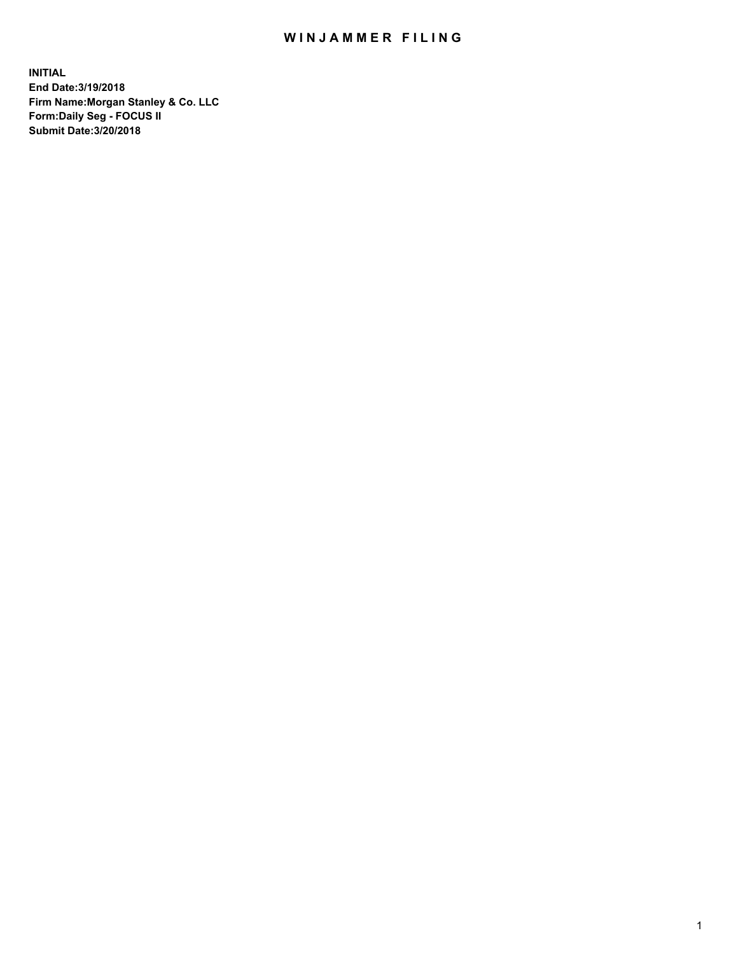## WIN JAMMER FILING

**INITIAL End Date:3/19/2018 Firm Name:Morgan Stanley & Co. LLC Form:Daily Seg - FOCUS II Submit Date:3/20/2018**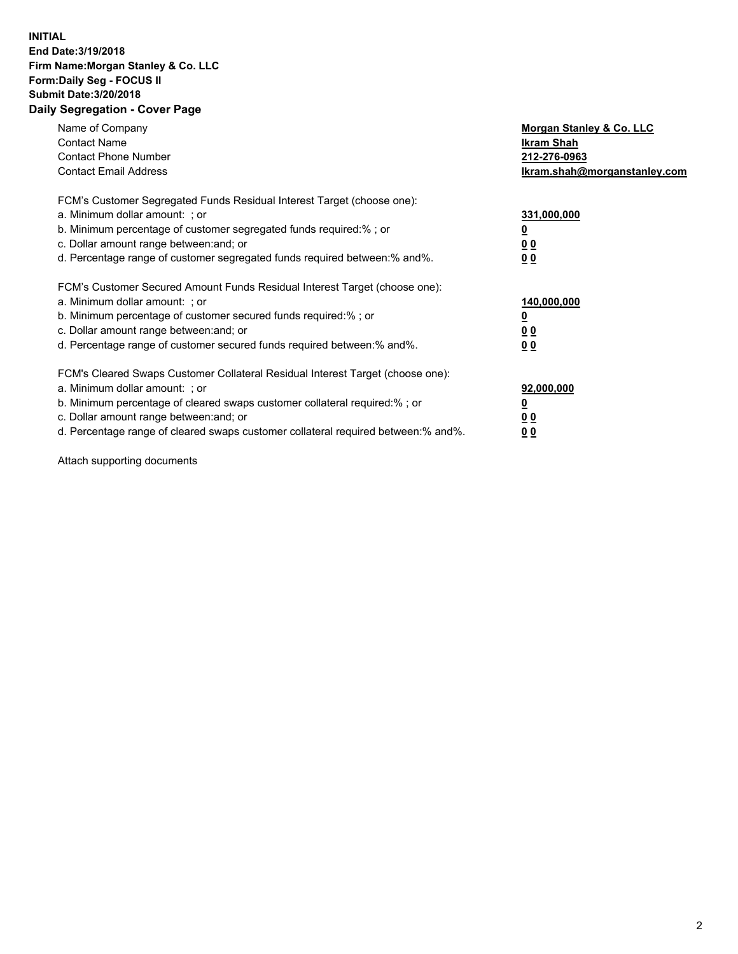## **INITIAL End Date:3/19/2018 Firm Name:Morgan Stanley & Co. LLC Form:Daily Seg - FOCUS II Submit Date:3/20/2018 Daily Segregation - Cover Page**

| Name of Company<br><b>Contact Name</b><br><b>Contact Phone Number</b><br><b>Contact Email Address</b>                                                                                                                                                                                                                          | Morgan Stanley & Co. LLC<br>Ikram Shah<br>212-276-0963<br>lkram.shah@morganstanley.com |
|--------------------------------------------------------------------------------------------------------------------------------------------------------------------------------------------------------------------------------------------------------------------------------------------------------------------------------|----------------------------------------------------------------------------------------|
| FCM's Customer Segregated Funds Residual Interest Target (choose one):<br>a. Minimum dollar amount: ; or<br>b. Minimum percentage of customer segregated funds required:%; or<br>c. Dollar amount range between: and; or<br>d. Percentage range of customer segregated funds required between: % and %.                        | 331,000,000<br>0 <sub>0</sub><br>00                                                    |
| FCM's Customer Secured Amount Funds Residual Interest Target (choose one):<br>a. Minimum dollar amount: ; or<br>b. Minimum percentage of customer secured funds required:%; or<br>c. Dollar amount range between: and; or<br>d. Percentage range of customer secured funds required between:% and%.                            | 140,000,000<br>0 <sub>0</sub><br>0 <sub>0</sub>                                        |
| FCM's Cleared Swaps Customer Collateral Residual Interest Target (choose one):<br>a. Minimum dollar amount: ; or<br>b. Minimum percentage of cleared swaps customer collateral required:% ; or<br>c. Dollar amount range between: and; or<br>d. Percentage range of cleared swaps customer collateral required between:% and%. | 92,000,000<br>0 <sub>0</sub><br>0 <sub>0</sub>                                         |

Attach supporting documents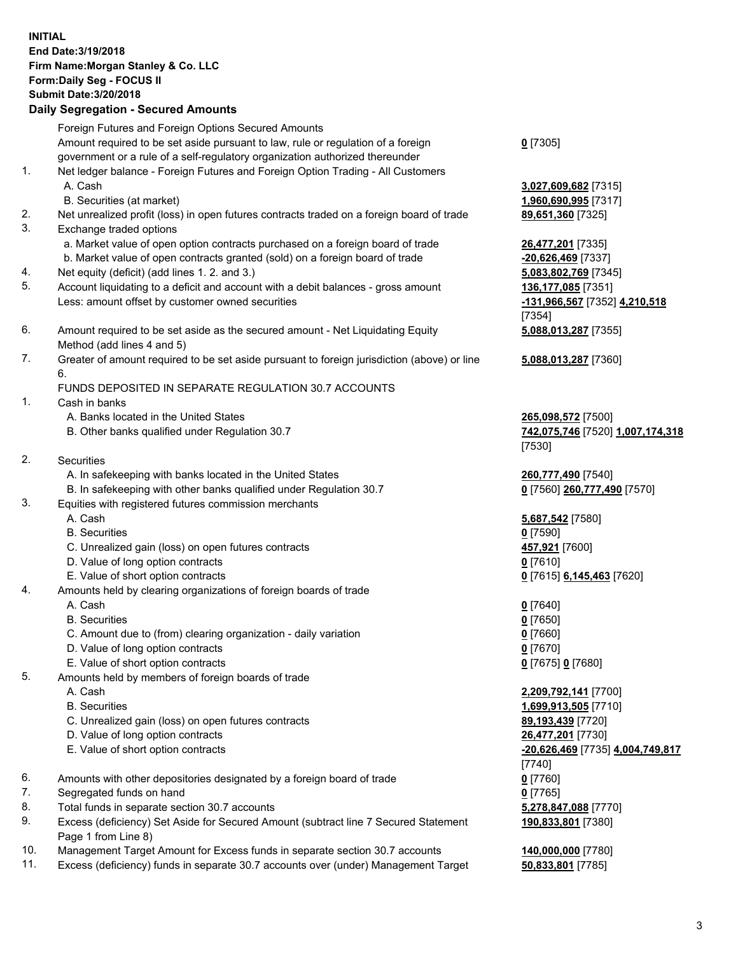## **INITIAL End Date:3/19/2018 Firm Name:Morgan Stanley & Co. LLC Form:Daily Seg - FOCUS II Submit Date:3/20/2018 Daily Segregation - Secured Amounts**

Foreign Futures and Foreign Options Secured Amounts Amount required to be set aside pursuant to law, rule or regulation of a foreign government or a rule of a self-regulatory organization authorized thereunder

- 1. Net ledger balance Foreign Futures and Foreign Option Trading All Customers A. Cash **3,027,609,682** [7315]
	- B. Securities (at market) **1,960,690,995** [7317]
- 2. Net unrealized profit (loss) in open futures contracts traded on a foreign board of trade **89,651,360** [7325]
- 3. Exchange traded options
	- a. Market value of open option contracts purchased on a foreign board of trade **26,477,201** [7335]
	- b. Market value of open contracts granted (sold) on a foreign board of trade **-20,626,469** [7337]
- 4. Net equity (deficit) (add lines 1. 2. and 3.) **5,083,802,769** [7345]
- 5. Account liquidating to a deficit and account with a debit balances gross amount **136,177,085** [7351] Less: amount offset by customer owned securities **-131,966,567** [7352] **4,210,518**
- 6. Amount required to be set aside as the secured amount Net Liquidating Equity Method (add lines 4 and 5)
- 7. Greater of amount required to be set aside pursuant to foreign jurisdiction (above) or line 6.

## FUNDS DEPOSITED IN SEPARATE REGULATION 30.7 ACCOUNTS

- 1. Cash in banks
	- A. Banks located in the United States **265,098,572** [7500]
	- B. Other banks qualified under Regulation 30.7 **742,075,746** [7520] **1,007,174,318**
- 2. Securities
	- A. In safekeeping with banks located in the United States **260,777,490** [7540]
	- B. In safekeeping with other banks qualified under Regulation 30.7 **0** [7560] **260,777,490** [7570]
- 3. Equities with registered futures commission merchants
	-
	-
	- C. Unrealized gain (loss) on open futures contracts **457,921** [7600]
	- D. Value of long option contracts **0** [7610]
- E. Value of short option contracts **0** [7615] **6,145,463** [7620]
- 4. Amounts held by clearing organizations of foreign boards of trade
	-
	-
	- C. Amount due to (from) clearing organization daily variation **0** [7660]
	- D. Value of long option contracts **0** [7670]
	- E. Value of short option contracts **0** [7675] **0** [7680]
- 5. Amounts held by members of foreign boards of trade
	-
	-
	- C. Unrealized gain (loss) on open futures contracts **89,193,439** [7720]
	- D. Value of long option contracts **26,477,201** [7730]
	- E. Value of short option contracts **-20,626,469** [7735] **4,004,749,817**
- 6. Amounts with other depositories designated by a foreign board of trade **0** [7760]
- 7. Segregated funds on hand **0** [7765]
- 8. Total funds in separate section 30.7 accounts **5,278,847,088** [7770]
- 9. Excess (deficiency) Set Aside for Secured Amount (subtract line 7 Secured Statement Page 1 from Line 8)
- 10. Management Target Amount for Excess funds in separate section 30.7 accounts **140,000,000** [7780]
- 11. Excess (deficiency) funds in separate 30.7 accounts over (under) Management Target **50,833,801** [7785]

**0** [7305]

[7354] **5,088,013,287** [7355]

**5,088,013,287** [7360]

[7530]

 A. Cash **5,687,542** [7580] B. Securities **0** [7590]

 A. Cash **0** [7640] B. Securities **0** [7650]

 A. Cash **2,209,792,141** [7700] B. Securities **1,699,913,505** [7710] [7740] **190,833,801** [7380]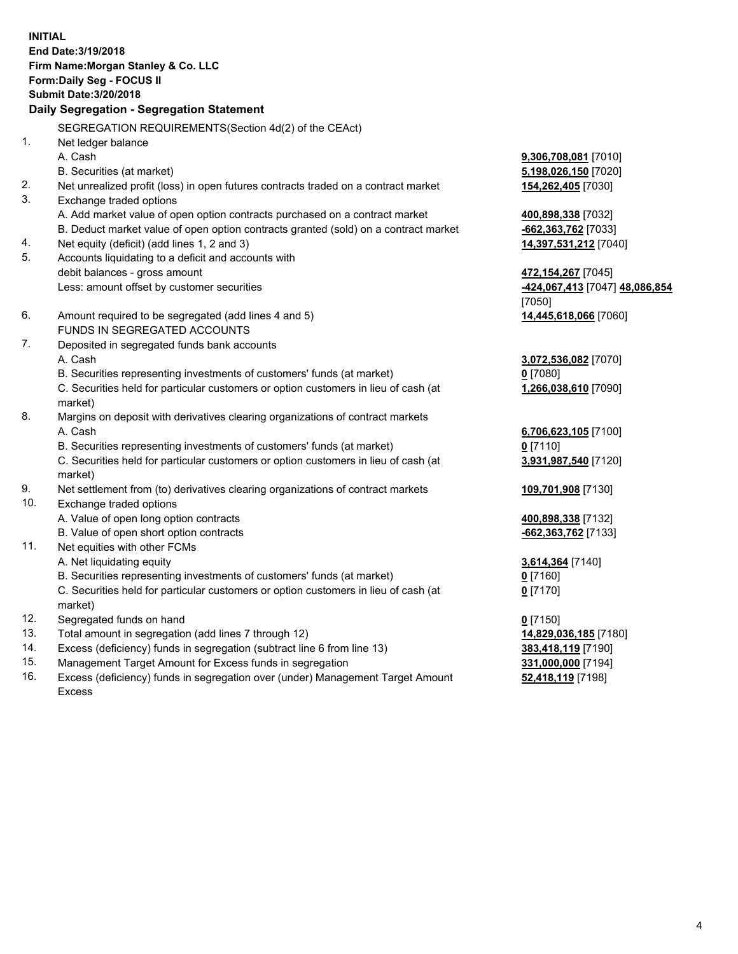**INITIAL End Date:3/19/2018 Firm Name:Morgan Stanley & Co. LLC Form:Daily Seg - FOCUS II Submit Date:3/20/2018 Daily Segregation - Segregation Statement** SEGREGATION REQUIREMENTS(Section 4d(2) of the CEAct) 1. Net ledger balance A. Cash **9,306,708,081** [7010] B. Securities (at market) **5,198,026,150** [7020] 2. Net unrealized profit (loss) in open futures contracts traded on a contract market **154,262,405** [7030] 3. Exchange traded options A. Add market value of open option contracts purchased on a contract market **400,898,338** [7032] B. Deduct market value of open option contracts granted (sold) on a contract market **-662,363,762** [7033] 4. Net equity (deficit) (add lines 1, 2 and 3) **14,397,531,212** [7040] 5. Accounts liquidating to a deficit and accounts with debit balances - gross amount **472,154,267** [7045] Less: amount offset by customer securities **-424,067,413** [7047] **48,086,854** [7050] 6. Amount required to be segregated (add lines 4 and 5) **14,445,618,066** [7060] FUNDS IN SEGREGATED ACCOUNTS 7. Deposited in segregated funds bank accounts A. Cash **3,072,536,082** [7070] B. Securities representing investments of customers' funds (at market) **0** [7080] C. Securities held for particular customers or option customers in lieu of cash (at market) **1,266,038,610** [7090] 8. Margins on deposit with derivatives clearing organizations of contract markets A. Cash **6,706,623,105** [7100] B. Securities representing investments of customers' funds (at market) **0** [7110] C. Securities held for particular customers or option customers in lieu of cash (at market) **3,931,987,540** [7120] 9. Net settlement from (to) derivatives clearing organizations of contract markets **109,701,908** [7130] 10. Exchange traded options A. Value of open long option contracts **400,898,338** [7132] B. Value of open short option contracts **-662,363,762** [7133] 11. Net equities with other FCMs A. Net liquidating equity **3,614,364** [7140] B. Securities representing investments of customers' funds (at market) **0** [7160] C. Securities held for particular customers or option customers in lieu of cash (at market) **0** [7170] 12. Segregated funds on hand **0** [7150] 13. Total amount in segregation (add lines 7 through 12) **14,829,036,185** [7180] 14. Excess (deficiency) funds in segregation (subtract line 6 from line 13) **383,418,119** [7190]

- 15. Management Target Amount for Excess funds in segregation **331,000,000** [7194]
- 16. Excess (deficiency) funds in segregation over (under) Management Target Amount Excess

**52,418,119** [7198]